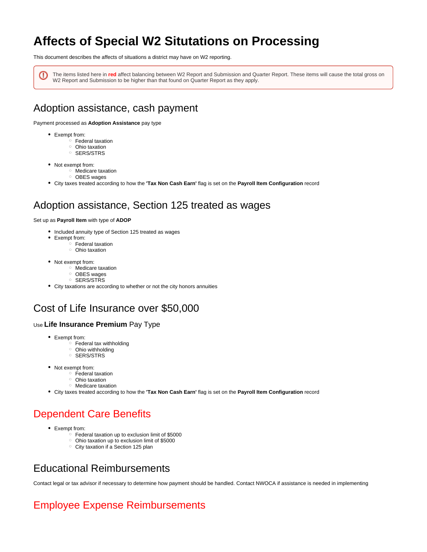# **Affects of Special W2 Situtations on Processing**

This document describes the affects of situations a district may have on W2 reporting.

The items listed here in **red** affect balancing between W2 Report and Submission and Quarter Report. These items will cause the total gross on ω W2 Report and Submission to be higher than that found on Quarter Report as they apply.

### Adoption assistance, cash payment

Payment processed as **Adoption Assistance** pay type

- Exempt from:
	- Federal taxation
	- <sup>o</sup> Ohio taxation <sup>o</sup> SERS/STRS
- Not exempt from:
	- <sup>o</sup> Medicare taxation
		- <sup>o</sup> OBES wages
- City taxes treated according to how the **'Tax Non Cash Earn'** flag is set on the **Payroll Item Configuration** record

### Adoption assistance, Section 125 treated as wages

#### Set up as **Payroll Item** with type of **ADOP**

- Included annuity type of Section 125 treated as wages
- Exempt from:
	- Federal taxation
	- <sup>o</sup> Ohio taxation
- Not exempt from:
	- Medicare taxation
	- o OBES wages
	- $\circ$  SERS/STRS
- City taxations are according to whether or not the city honors annuities

### Cost of Life Insurance over \$50,000

#### Use **Life Insurance Premium** Pay Type

- Exempt from:
	- $\circ$  Federal tax withholding
	- <sup>o</sup> Ohio withholding
	- <sup>o</sup> SERS/STRS
- Not exempt from:
	- Federal taxation
	- <sup>o</sup> Ohio taxation
	- Medicare taxation
- City taxes treated according to how the **'Tax Non Cash Earn'** flag is set on the **Payroll Item Configuration** record

## Dependent Care Benefits

- Exempt from:
	- $\circ$  Federal taxation up to exclusion limit of \$5000
	- Ohio taxation up to exclusion limit of \$5000
	- <sup>o</sup> City taxation if a Section 125 plan

### Educational Reimbursements

Contact legal or tax advisor if necessary to determine how payment should be handled. Contact NWOCA if assistance is needed in implementing

## Employee Expense Reimbursements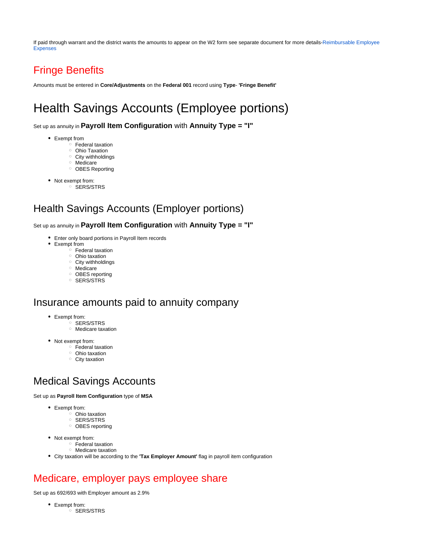If paid through warrant and the district wants the amounts to appear on the W2 form see separate document for more details-[Reimbursable Employee](https://wiki.nwoca.org/x/Y4tfB)  [Expenses](https://wiki.nwoca.org/x/Y4tfB)

## Fringe Benefits

Amounts must be entered in **Core/Adjustments** on the **Federal 001** record using **Type**- **'Fringe Benefit'**

# Health Savings Accounts (Employee portions)

Set up as annuity in **Payroll Item Configuration** with **Annuity Type = "I"**

- Exempt from
	- $\overline{\ }$  Federal taxation <sup>o</sup> Ohio Taxation
	- $\circ$  City withholdings
	- Medicare
	- <sup>o</sup> OBES Reporting
- Not exempt from:
	- o SERS/STRS

### Health Savings Accounts (Employer portions)

#### Set up as annuity in **Payroll Item Configuration** with **Annuity Type = "I"**

- Enter only board portions in Payroll Item records
- Exempt from
	- $\overline{\phantom{a}}$  Federal taxation
	- Ohio taxation
	- $\circ$  City withholdings
	- Medicare <sup>o</sup> OBES reporting
	- $\circ$  SERS/STRS

### Insurance amounts paid to annuity company

- Exempt from:
	- <sup>o</sup> SERS/STRS
	- Medicare taxation
- Not exempt from:
	- Federal taxation
	- <sup>o</sup> Ohio taxation
	- $\circ$  City taxation

### Medical Savings Accounts

Set up as **Payroll Item Configuration** type of **MSA**

- Exempt from:
	- $\circ$  Ohio taxation
	- <sup>o</sup> SERS/STRS
	- <sup>o</sup> OBES reporting
- Not exempt from:
	- Federal taxation
		- Medicare taxation
- City taxation will be according to the **'Tax Employer Amount'** flag in payroll item configuration

### Medicare, employer pays employee share

Set up as 692/693 with Employer amount as 2.9%

Exempt from:  $\circ$  SERS/STRS